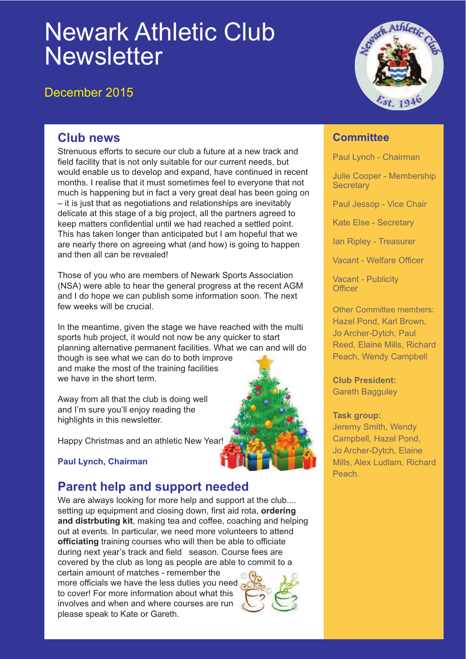# Newark Athletic Club **Newsletter**

### December 2015



#### **Club news**

Strenuous efforts to secure our club a future at a new track and field facility that is not only suitable for our current needs, but would enable us to develop and expand, have continued in recent months. I realise that it must sometimes feel to everyone that not much is happening but in fact a very great deal has been going on – it is just that as negotiations and relationships are inevitably delicate at this stage of a big project, all the partners agreed to keep matters confidential until we had reached a settled point. This has taken longer than anticipated but I am hopeful that we are nearly there on agreeing what (and how) is going to happen and then all can be revealed!

Those of you who are members of Newark Sports Association (NSA) were able to hear the general progress at the recent AGM and I do hope we can publish some information soon. The next few weeks will be crucial.

In the meantime, given the stage we have reached with the multi sports hub project, it would not now be any quicker to start planning alternative permanent facilities. What we can and will do though is see what we can do to both improve and make the most of the training facilities we have in the short term.

Away from all that the club is doing well and I'm sure you'll enjoy reading the highlights in this newsletter.

Happy Christmas and an athletic New Year!

#### **Paul Lynch, Chairman**

## **Parent help and support needed**

We are always looking for more help and support at the club.... setting up equipment and closing down, first aid rota, **ordering and distrbuting kit**, making tea and coffee, coaching and helping out at events. In particular, we need more volunteers to attend **officiating** training courses who will then be able to officiate during next year's track and field season. Course fees are covered by the club as long as people are able to commit to a certain amount of matches - remember the

more officials we have the less duties you need to cover! For more information about what this involves and when and where courses are run please speak to Kate or Gareth.



#### **Committee**

Paul Lynch - Chairman

Julie Cooper - Membership **Secretary** 

Paul Jessop - Vice Chair

Kate Else - Secretary

Ian Ripley - Treasurer

Vacant - Welfare Officer

Vacant - Publicity **Officer** 

Other Committee members: Hazel Pond, Karl Brown, Jo Archer-Dytch, Paul Reed, Elaine Mills, Richard Peach, Wendy Campbell

**Club President:** Gareth Bagguley

#### **Task group:**

Jeremy Smith, Wendy Campbell, Hazel Pond, Jo Archer-Dytch, Elaine Mills, Alex Ludlam, Richard Peach.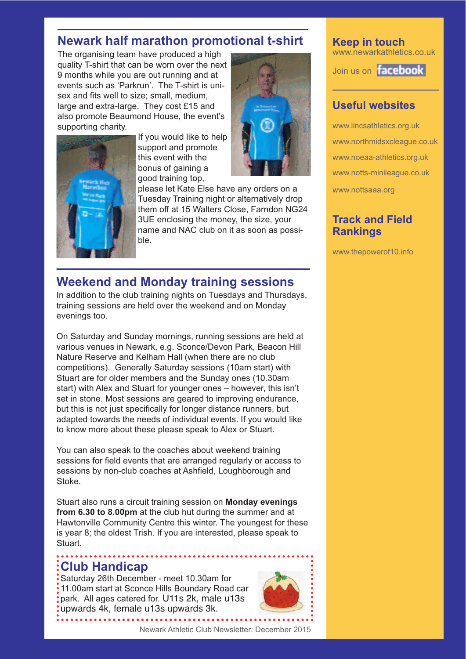### **Newark half marathon promotional t-shirt**

The organising team have produced a high quality T-shirt that can be worn over the next 9 months while you are out running and at events such as 'Parkrun'. The T-shirt is unisex and fits well to size; small, medium, large and extra-large. They cost £15 and also promote Beaumond House, the event's supporting charity.



If you would like to help support and promote this event with the bonus of gaining a good training top,



please let Kate Else have any orders on a Tuesday Training night or alternatively drop them off at 15 Walters Close, Farndon NG24 3UE enclosing the money, the size, your name and NAC club on it as soon as possible.

### **Weekend and Monday training sessions**

In addition to the club training nights on Tuesdays and Thursdays, training sessions are held over the weekend and on Monday evenings too.

On Saturday and Sunday mornings, running sessions are held at various venues in Newark, e.g. Sconce/Devon Park, Beacon Hill Nature Reserve and Kelham Hall (when there are no club competitions). Generally Saturday sessions (10am start) with Stuart are for older members and the Sunday ones (10.30am start) with Alex and Stuart for younger ones – however, this isn't set in stone. Most sessions are geared to improving endurance, but this is not just specifically for longer distance runners, but adapted towards the needs of individual events. If you would like to know more about these please speak to Alex or Stuart.

You can also speak to the coaches about weekend training sessions for field events that are arranged regularly or access to sessions by non-club coaches at Ashfield, Loughborough and Stoke.

Stuart also runs a circuit training session on **Monday evenings from 6.30 to 8.00pm** at the club hut during the summer and at Hawtonville Community Centre this winter. The youngest for these is year 8; the oldest Trish. If you are interested, please speak to Stuart.

### **Club Handicap**

Saturday 26th December - meet 10.30am for 11.00am start at Sconce Hills Boundary Road car park. All ages catered for. U11s 2k, male u13s upwards 4k, female u13s upwards 3k.



**Keep in touch** www.newarkathletics.co.uk

Join us on **facebook** 

#### **Useful websites**

www.lincsathletics.org.uk www.northmidsxcleague.co.uk www.noeaa-athletics.org.uk www.notts-minileague.co.uk www.nottsaaa.org

#### **Track and Field Rankings**

www.thepowerof10.info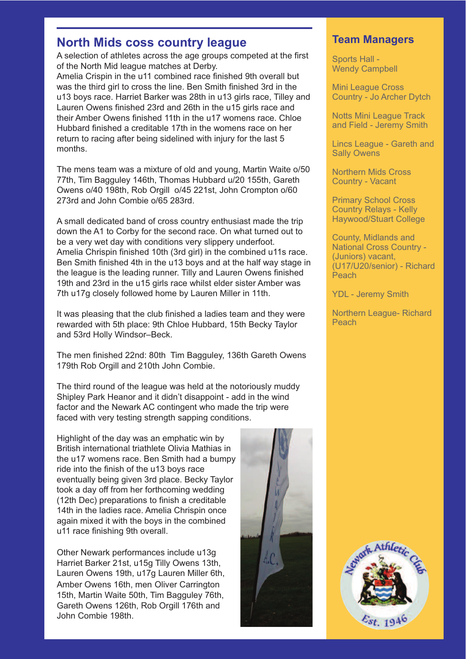#### **North Mids coss country league**

A selection of athletes across the age groups competed at the first of the North Mid league matches at Derby.

Amelia Crispin in the u11 combined race finished 9th overall but was the third girl to cross the line. Ben Smith finished 3rd in the u13 boys race. Harriet Barker was 28th in u13 girls race, Tilley and Lauren Owens finished 23rd and 26th in the u15 girls race and their Amber Owens finished 11th in the u17 womens race. Chloe Hubbard finished a creditable 17th in the womens race on her return to racing after being sidelined with injury for the last 5 months.

The mens team was a mixture of old and young, Martin Waite o/50 77th, Tim Bagguley 146th, Thomas Hubbard u/20 155th, Gareth Owens o/40 198th, Rob Orgill o/45 221st, John Crompton o/60 273rd and John Combie o/65 283rd.

A small dedicated band of cross country enthusiast made the trip down the A1 to Corby for the second race. On what turned out to be a very wet day with conditions very slippery underfoot. Amelia Chrispin finished 10th (3rd girl) in the combined u11s race. Ben Smith finished 4th in the u13 boys and at the half way stage in the league is the leading runner. Tilly and Lauren Owens finished 19th and 23rd in the u15 girls race whilst elder sister Amber was 7th u17g closely followed home by Lauren Miller in 11th.

It was pleasing that the club finished a ladies team and they were rewarded with 5th place: 9th Chloe Hubbard, 15th Becky Taylor and 53rd Holly Windsor–Beck.

The men finished 22nd: 80th Tim Bagguley, 136th Gareth Owens 179th Rob Orgill and 210th John Combie.

The third round of the league was held at the notoriously muddy Shipley Park Heanor and it didn't disappoint - add in the wind factor and the Newark AC contingent who made the trip were faced with very testing strength sapping conditions.

Highlight of the day was an emphatic win by British international triathlete Olivia Mathias in the u17 womens race. Ben Smith had a bumpy ride into the finish of the u13 boys race eventually being given 3rd place. Becky Taylor took a day off from her forthcoming wedding (12th Dec) preparations to finish a creditable 14th in the ladies race. Amelia Chrispin once again mixed it with the boys in the combined u11 race finishing 9th overall.

Other Newark performances include u13g Harriet Barker 21st, u15g Tilly Owens 13th, Lauren Owens 19th, u17g Lauren Miller 6th, Amber Owens 16th, men Oliver Carrington 15th, Martin Waite 50th, Tim Bagguley 76th, Gareth Owens 126th, Rob Orgill 176th and John Combie 198th.



#### **Team Managers**

Sports Hall - Wendy Campbell

Mini League Cross Country - Jo Archer Dytch

Notts Mini League Track and Field - Jeremy Smith

Lincs League - Gareth and Sally Owens

Northern Mids Cross Country - Vacant

Primary School Cross Country Relays - Kelly Haywood/Stuart College

County, Midlands and National Cross Country - (Juniors) vacant, (U17/U20/senior) - Richard **Peach** 

YDL - Jeremy Smith

Northern League- Richard Peach

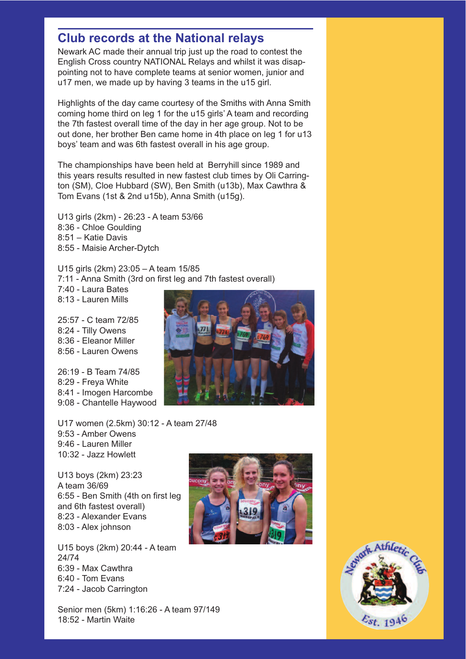### **Club records at the National relays**

Newark AC made their annual trip just up the road to contest the English Cross country NATIONAL Relays and whilst it was disappointing not to have complete teams at senior women, junior and u17 men, we made up by having 3 teams in the u15 girl.

Highlights of the day came courtesy of the Smiths with Anna Smith coming home third on leg 1 for the u15 girls' A team and recording the 7th fastest overall time of the day in her age group. Not to be out done, her brother Ben came home in 4th place on leg 1 for u13 boys' team and was 6th fastest overall in his age group.

The championships have been held at Berryhill since 1989 and this years results resulted in new fastest club times by Oli Carrington (SM), Cloe Hubbard (SW), Ben Smith (u13b), Max Cawthra & Tom Evans (1st & 2nd u15b), Anna Smith (u15g).

U13 girls (2km) - 26:23 - A team 53/66 8:36 - Chloe Goulding 8:51 – Katie Davis 8:55 - Maisie Archer-Dytch

U15 girls (2km) 23:05 – A team 15/85 7:11 - Anna Smith (3rd on first leg and 7th fastest overall) 7:40 - Laura Bates 8:13 - Lauren Mills

25:57 - C team 72/85 8:24 - Tilly Owens 8:36 - Eleanor Miller 8:56 - Lauren Owens

26:19 - B Team 74/85 8:29 - Freya White 8:41 - Imogen Harcombe 9:08 - Chantelle Haywood

U17 women (2.5km) 30:12 - A team 27/48 9:53 - Amber Owens 9:46 - Lauren Miller 10:32 - Jazz Howlett

U13 boys (2km) 23:23 A team 36/69 6:55 - Ben Smith (4th on first leg and 6th fastest overall) 8:23 - Alexander Evans 8:03 - Alex johnson

U15 boys (2km) 20:44 - A team 24/74 6:39 - Max Cawthra 6:40 - Tom Evans 7:24 - Jacob Carrington

Senior men (5km) 1:16:26 - A team 97/149 18:52 - Martin Waite





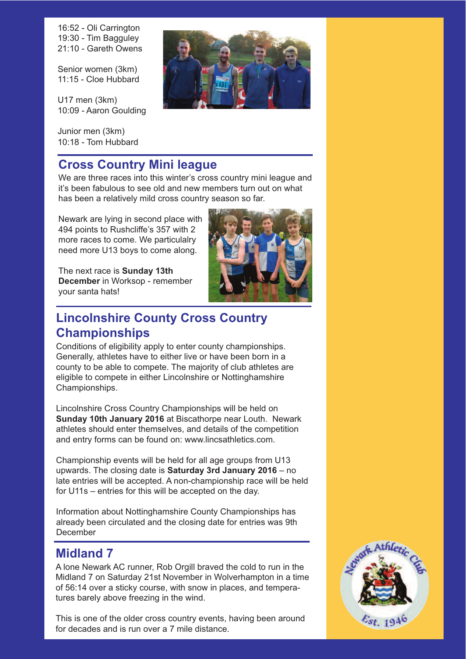16:52 - Oli Carrington 19:30 - Tim Bagguley 21:10 - Gareth Owens

Senior women (3km) 11:15 - Cloe Hubbard

U17 men (3km) 10:09 - Aaron Goulding

Junior men (3km) 10:18 - Tom Hubbard

### **Cross Country Mini league**

We are three races into this winter's cross country mini league and it's been fabulous to see old and new members turn out on what has been a relatively mild cross country season so far.

Newark are lying in second place with 494 points to Rushcliffe's 357 with 2 more races to come. We particulalry need more U13 boys to come along.

The next race is **Sunday 13th December** in Worksop - remember your santa hats!



### **Lincolnshire County Cross Country Championships**

Conditions of eligibility apply to enter county championships. Generally, athletes have to either live or have been born in a county to be able to compete. The majority of club athletes are eligible to compete in either Lincolnshire or Nottinghamshire Championships.

Lincolnshire Cross Country Championships will be held on **Sunday 10th January 2016** at Biscathorpe near Louth. Newark athletes should enter themselves, and details of the competition and entry forms can be found on: www.lincsathletics.com.

Championship events will be held for all age groups from U13 upwards. The closing date is **Saturday 3rd January 2016** – no late entries will be accepted. A non-championship race will be held for U11s – entries for this will be accepted on the day.

Information about Nottinghamshire County Championships has already been circulated and the closing date for entries was 9th December

### **Midland 7**

A lone Newark AC runner, Rob Orgill braved the cold to run in the Midland 7 on Saturday 21st November in Wolverhampton in a time of 56:14 over a sticky course, with snow in places, and temperatures barely above freezing in the wind.

for decades and is run over a 7 mile distance. This is one of the older cross country events, having been around

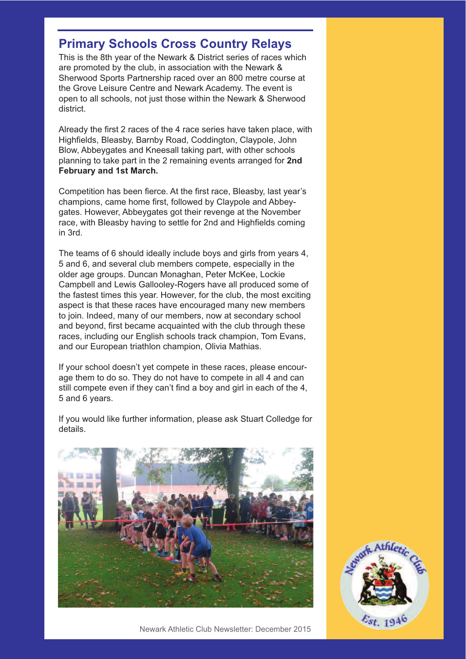### **Primary Schools Cross Country Relays**

This is the 8th year of the Newark & District series of races which are promoted by the club, in association with the Newark & Sherwood Sports Partnership raced over an 800 metre course at the Grove Leisure Centre and Newark Academy. The event is open to all schools, not just those within the Newark & Sherwood district.

Already the first 2 races of the 4 race series have taken place, with Highfields, Bleasby, Barnby Road, Coddington, Claypole, John Blow, Abbeygates and Kneesall taking part, with other schools planning to take part in the 2 remaining events arranged for **2nd February and 1st March.**

Competition has been fierce. At the first race, Bleasby, last year's champions, came home first, followed by Claypole and Abbeygates. However, Abbeygates got their revenge at the November race, with Bleasby having to settle for 2nd and Highfields coming in 3rd.

The teams of 6 should ideally include boys and girls from years 4, 5 and 6, and several club members compete, especially in the older age groups. Duncan Monaghan, Peter McKee, Lockie Campbell and Lewis Gallooley-Rogers have all produced some of the fastest times this year. However, for the club, the most exciting aspect is that these races have encouraged many new members to join. Indeed, many of our members, now at secondary school and beyond, first became acquainted with the club through these races, including our English schools track champion, Tom Evans, and our European triathlon champion, Olivia Mathias.

If your school doesn't yet compete in these races, please encourage them to do so. They do not have to compete in all 4 and can still compete even if they can't find a boy and girl in each of the 4, 5 and 6 years.

If you would like further information, please ask Stuart Colledge for details.



 $\varepsilon_{st}$  1940

Newark Athletic Club Newsletter: December 2015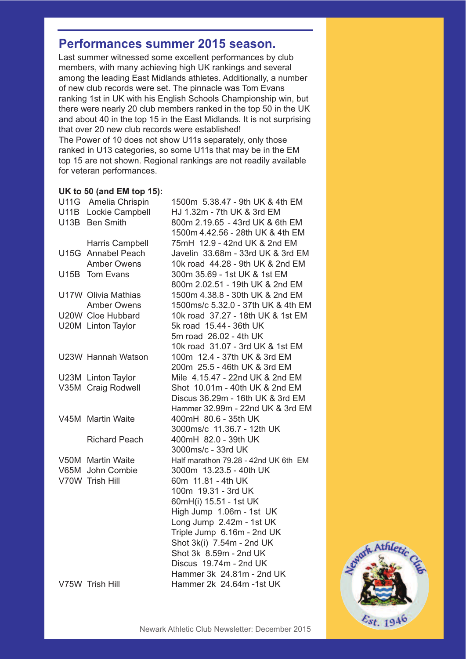### **Performances summer 2015 season.**

Last summer witnessed some excellent performances by club members, with many achieving high UK rankings and several among the leading East Midlands athletes. Additionally, a number of new club records were set. The pinnacle was Tom Evans ranking 1st in UK with his English Schools Championship win, but there were nearly 20 club members ranked in the top 50 in the UK and about 40 in the top 15 in the East Midlands. It is not surprising that over 20 new club records were established!

The Power of 10 does not show U11s separately, only those ranked in U13 categories, so some U11s that may be in the EM top 15 are not shown. Regional rankings are not readily available for veteran performances.

#### **UK to 50 (and EM top 15):**

| U11G Amelia Chrispin | 1500m 5.38.47 - 9th UK & 4th EM      |
|----------------------|--------------------------------------|
| U11B Lockie Campbell | HJ 1.32m - 7th UK & 3rd EM           |
| U13B Ben Smith       | 800m 2.19.65 - 43rd UK & 6th EM      |
|                      | 1500m 4.42.56 - 28th UK & 4th EM     |
| Harris Campbell      | 75mH 12.9 - 42nd UK & 2nd EM         |
| U15G Annabel Peach   | Javelin 33.68m - 33rd UK & 3rd EM    |
| <b>Amber Owens</b>   | 10k road 44.28 - 9th UK & 2nd EM     |
| U15B Tom Evans       | 300m 35.69 - 1st UK & 1st EM         |
|                      | 800m 2.02.51 - 19th UK & 2nd EM      |
| U17W Olivia Mathias  | 1500m 4.38.8 - 30th UK & 2nd EM      |
| <b>Amber Owens</b>   | 1500ms/c 5.32.0 - 37th UK & 4th EM   |
| U20W Cloe Hubbard    | 10k road 37.27 - 18th UK & 1st EM    |
| U20M Linton Taylor   | 5k road 15.44 - 36th UK              |
|                      | 5m road 26.02 - 4th UK               |
|                      | 10k road 31.07 - 3rd UK & 1st EM     |
| U23W Hannah Watson   | 100m 12.4 - 37th UK & 3rd EM         |
|                      | 200m 25.5 - 46th UK & 3rd EM         |
| U23M Linton Taylor   | Mile 4.15.47 - 22nd UK & 2nd EM      |
| V35M Craig Rodwell   | Shot 10.01m - 40th UK & 2nd EM       |
|                      | Discus 36.29m - 16th UK & 3rd EM     |
|                      | Hammer 32.99m - 22nd UK & 3rd EM     |
| V45M Martin Waite    | 400mH 80.6 - 35th UK                 |
|                      | 3000ms/c 11.36.7 - 12th UK           |
| <b>Richard Peach</b> | 400mH 82.0 - 39th UK                 |
|                      | 3000ms/c - 33rd UK                   |
| V50M Martin Waite    | Half marathon 79.28 - 42nd UK 6th EM |
| V65M John Combie     | 3000m 13.23.5 - 40th UK              |
| V70W Trish Hill      | 60m 11.81 - 4th UK                   |
|                      | 100m 19.31 - 3rd UK                  |
|                      | 60mH(i) 15.51 - 1st UK               |
|                      | High Jump 1.06m - 1st UK             |
|                      | Long Jump 2.42m - 1st UK             |
|                      | Triple Jump 6.16m - 2nd UK           |
|                      | Shot 3k(i) 7.54m - 2nd UK            |
|                      | Shot 3k 8.59m - 2nd UK               |
|                      | Discus 19.74m - 2nd UK               |
|                      | Hammer 3k 24.81m - 2nd UK            |
| V75W Trish Hill      | Hammer 2k 24.64m -1st UK             |
|                      |                                      |

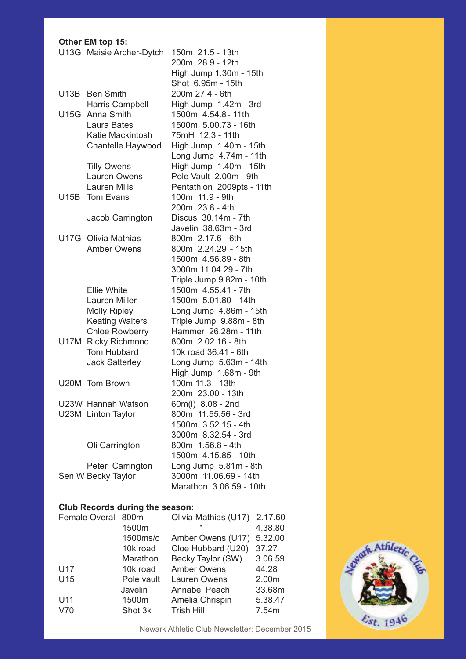#### **Other EM top 15:**

|                                        | U13G Maisie Archer-Dytch | 150m 21.5 - 13th<br>200m 28.9 - 12th |  |  |
|----------------------------------------|--------------------------|--------------------------------------|--|--|
|                                        |                          | High Jump 1.30m - 15th               |  |  |
|                                        |                          | Shot 6.95m - 15th                    |  |  |
|                                        | U13B Ben Smith           | 200m 27.4 - 6th                      |  |  |
|                                        | Harris Campbell          | High Jump 1.42m - 3rd                |  |  |
|                                        | U15G Anna Smith          | 1500m 4.54.8 - 11th                  |  |  |
|                                        | Laura Bates              | 1500m 5.00.73 - 16th                 |  |  |
|                                        | <b>Katie Mackintosh</b>  | 75mH 12.3 - 11th                     |  |  |
|                                        | Chantelle Haywood        | High Jump 1.40m - 15th               |  |  |
|                                        |                          | Long Jump 4.74m - 11th               |  |  |
|                                        | <b>Tilly Owens</b>       | High Jump 1.40m - 15th               |  |  |
|                                        | <b>Lauren Owens</b>      | Pole Vault 2.00m - 9th               |  |  |
|                                        | <b>Lauren Mills</b>      | Pentathlon 2009pts - 11th            |  |  |
|                                        | U15B Tom Evans           | 100m 11.9 - 9th                      |  |  |
|                                        |                          | 200m 23.8 - 4th                      |  |  |
|                                        |                          | Discus 30.14m - 7th                  |  |  |
|                                        | Jacob Carrington         | Javelin 38.63m - 3rd                 |  |  |
|                                        | U17G Olivia Mathias      | 800m 2.17.6 - 6th                    |  |  |
|                                        | <b>Amber Owens</b>       | 800m 2.24.29 - 15th                  |  |  |
|                                        |                          |                                      |  |  |
|                                        |                          | 1500m 4.56.89 - 8th                  |  |  |
|                                        |                          | 3000m 11.04.29 - 7th                 |  |  |
|                                        |                          | Triple Jump 9.82m - 10th             |  |  |
|                                        | <b>Ellie White</b>       | 1500m 4.55.41 - 7th                  |  |  |
|                                        | <b>Lauren Miller</b>     | 1500m 5.01.80 - 14th                 |  |  |
|                                        | <b>Molly Ripley</b>      | Long Jump 4.86m - 15th               |  |  |
|                                        | <b>Keating Walters</b>   | Triple Jump 9.88m - 8th              |  |  |
|                                        | <b>Chloe Rowberry</b>    | Hammer 26.28m - 11th                 |  |  |
|                                        | U17M Ricky Richmond      | 800m 2.02.16 - 8th                   |  |  |
|                                        | Tom Hubbard              | 10k road 36.41 - 6th                 |  |  |
|                                        | <b>Jack Satterley</b>    | Long Jump 5.63m - 14th               |  |  |
|                                        |                          | High Jump 1.68m - 9th                |  |  |
|                                        | U20M Tom Brown           | 100m 11.3 - 13th                     |  |  |
|                                        |                          | 200m 23.00 - 13th                    |  |  |
|                                        | U23W Hannah Watson       | 60m(i) 8.08 - 2nd                    |  |  |
|                                        | U23M Linton Taylor       | 800m 11.55.56 - 3rd                  |  |  |
|                                        |                          | 1500m 3.52.15 - 4th                  |  |  |
|                                        |                          | 3000m 8.32.54 - 3rd                  |  |  |
|                                        | Oli Carrington           | 800m 1.56.8 - 4th                    |  |  |
|                                        |                          | 1500m 4.15.85 - 10th                 |  |  |
|                                        | Peter Carrington         | Long Jump 5.81m - 8th                |  |  |
| Sen W Becky Taylor                     |                          | 3000m 11.06.69 - 14th                |  |  |
|                                        |                          | Marathon 3.06.59 - 10th              |  |  |
|                                        |                          |                                      |  |  |
| <b>Club Records during the season:</b> |                          |                                      |  |  |
|                                        | Female Overall 800m      | Olivia Mathias (U17) 2.17.6          |  |  |
|                                        |                          |                                      |  |  |

| Female Overall 800m |            | Olivia Mathias (U17)       | 2.17.60 |
|---------------------|------------|----------------------------|---------|
|                     | 1500m      | $\mathfrak{c}\mathfrak{c}$ | 4.38.80 |
|                     | 1500ms/c   | Amber Owens (U17)          | 5.32.00 |
|                     | 10k road   | Cloe Hubbard (U20)         | 37.27   |
|                     | Marathon   | Becky Taylor (SW)          | 3.06.59 |
| U17                 | 10k road   | <b>Amber Owens</b>         | 44.28   |
| U15                 | Pole vault | <b>Lauren Owens</b>        | 2.00m   |
|                     | Javelin    | Annabel Peach              | 33.68m  |
| U11                 | 1500m      | Amelia Chrispin            | 5.38.47 |
| V70                 | Shot 3k    | <b>Trish Hill</b>          | 7.54m   |
|                     |            |                            |         |

Athletic<sub>C</sub> Est. 1946

Newark Athletic Club Newsletter: December 2015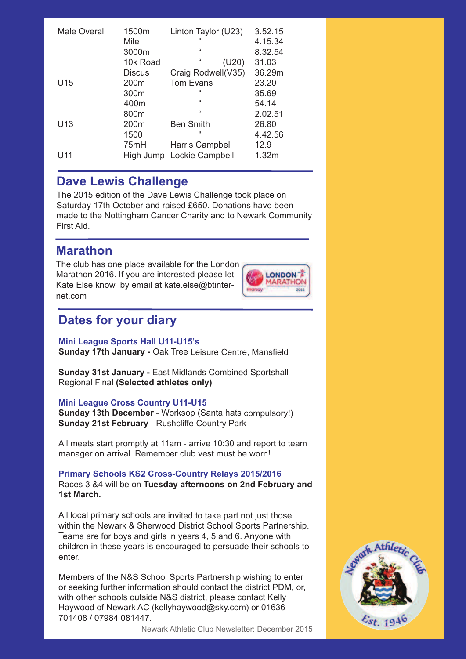| <b>Male Overall</b> | 1500m<br>Mile<br>3000m | Linton Taylor (U23)<br>"<br>$\epsilon$ | 3.52.15<br>4.15.34<br>8.32.54 |
|---------------------|------------------------|----------------------------------------|-------------------------------|
|                     | 10k Road               | "<br>(U20)                             | 31.03                         |
|                     | Discus                 | Craig Rodwell(V35)                     | 36.29m                        |
| U <sub>15</sub>     | 200 <sub>m</sub>       | <b>Tom Evans</b>                       | 23.20                         |
|                     | 300 <sub>m</sub>       | "                                      | 35.69                         |
|                     | 400m                   | $\epsilon$                             | 54.14                         |
|                     | 800m                   | "                                      | 2.02.51                       |
| U <sub>13</sub>     | 200 <sub>m</sub>       | <b>Ben Smith</b>                       | 26.80                         |
|                     | 1500                   | "                                      | 4.42.56                       |
|                     | 75mH                   | Harris Campbell                        | 12.9                          |
| U11                 | High Jump              | Lockie Campbell                        | 1.32m                         |

### **Dave Lewis Challenge**

The 2015 edition of the Dave Lewis Challenge took place on Saturday 17th October and raised £650. Donations have been made to the Nottingham Cancer Charity and to Newark Community First Aid.

### **Marathon**

The club has one place available for the London Marathon 2016. If you are interested please let Kate Else know by email at kate.else@btinternet.com



### **Dates for your diary**

#### **Mini League Sports Hall U11-U15's**

**Sunday 17th January -** Oak Tree Leisure Centre, Mansfield

**Sunday 31st January -** East Midlands Combined Sportshall Regional Final **(Selected athletes only)**

#### **Mini League Cross Country U11-U15**

**Sunday 13th December** - Worksop (Santa hats compulsory!) **Sunday 21st February** - Rushcliffe Country Park

All meets start promptly at 11am - arrive 10:30 and report to team manager on arrival. Remember club vest must be worn!

#### **Primary Schools KS2 Cross-Country Relays 2015/2016**

Races 3 &4 will be on **Tuesday afternoons on 2nd February and 1st March.**

All local primary schools are invited to take part not just those within the Newark & Sherwood District School Sports Partnership. Teams are for boys and girls in years 4, 5 and 6. Anyone with children in these years is encouraged to persuade their schools to enter.

Members of the N&S School Sports Partnership wishing to enter or seeking further information should contact the district PDM, or, with other schools outside N&S district, please contact Kelly Haywood of Newark AC (kellyhaywood@sky.com) or 01636 701408 / 07984 081447.

Newark Athletic Club Newsletter: December 2015